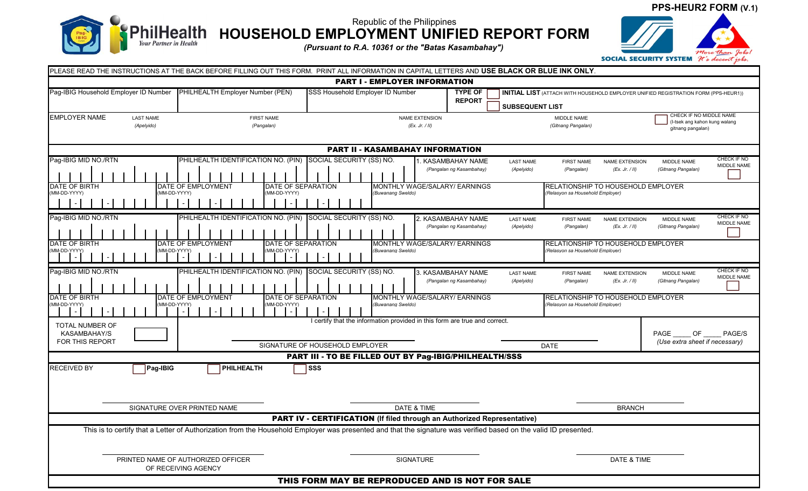

Republic of the Philippines **HOUSEHOLD EMPLOYMENT UNIFIED REPORT FORM**

*(Pursuant to R.A. 10361 or the "Batas Kasambahay")*



| PLEASE READ THE INSTRUCTIONS AT THE BACK BEFORE FILLING OUT THIS FORM. PRINT ALL INFORMATION IN CAPITAL LETTERS AND USE BLACK OR BLUE INK ONLY.                                                                                                                          |                                                              |                                                                                           |                                                |                                |                                                                               |                                         |                                                                               |                            |
|--------------------------------------------------------------------------------------------------------------------------------------------------------------------------------------------------------------------------------------------------------------------------|--------------------------------------------------------------|-------------------------------------------------------------------------------------------|------------------------------------------------|--------------------------------|-------------------------------------------------------------------------------|-----------------------------------------|-------------------------------------------------------------------------------|----------------------------|
|                                                                                                                                                                                                                                                                          |                                                              | <b>PART I - EMPLOYER INFORMATION</b>                                                      |                                                |                                |                                                                               |                                         |                                                                               |                            |
| Pag-IBIG Household Employer ID Number<br>PHILHEALTH Employer Number (PEN)<br>SSS Household Employer ID Number<br><b>TYPE OF</b><br><b>INITIAL LIST</b> (ATTACH WITH HOUSEHOLD EMPLOYER UNIFIED REGISTRATION FORM (PPS-HEUR1))<br><b>REPORT</b><br><b>SUBSEQUENT LIST</b> |                                                              |                                                                                           |                                                |                                |                                                                               |                                         |                                                                               |                            |
| <b>EMPLOYER NAME</b><br><b>LAST NAME</b><br>(Apelyido)                                                                                                                                                                                                                   | <b>FIRST NAME</b><br>(Pangalan)                              | <b>NAME EXTENSION</b><br>(EX. Jr. / II)                                                   |                                                |                                | MIDDLE NAME<br>(Gitnang Pangalan)                                             |                                         | CHECK IF NO MIDDLE NAME<br>(I-tsek ang kahon kung walang<br>gitnang pangalan) |                            |
| <b>PART II - KASAMBAHAY INFORMATION</b>                                                                                                                                                                                                                                  |                                                              |                                                                                           |                                                |                                |                                                                               |                                         |                                                                               |                            |
| Pag-IBIG MID NO./RTN                                                                                                                                                                                                                                                     | PHILHEALTH IDENTIFICATION NO. (PIN) SOCIAL SECURITY (SS) NO. |                                                                                           | 1. KASAMBAHAY NAME<br>(Pangalan ng Kasambahay) | <b>LAST NAME</b><br>(Apelyido) | <b>FIRST NAME</b><br>(Pangalan)                                               | NAME EXTENSION<br>(EX. Jr. / II)        | MIDDLE NAME<br>(Gitnang Pangalan)                                             | CHECK IF NO<br>MIDDLE NAME |
| DATE OF BIRTH<br>DATE OF EMPLOYMENT<br><b>DATE OF SEPARATION</b><br>MONTHLY WAGE/SALARY/ EARNINGS<br>(MM-DD-YYYY)<br>(MM-DD-YYYY)<br>(MM-DD-YYYY)<br>(Buwanang Sweldo)                                                                                                   |                                                              |                                                                                           |                                                |                                | <b>RELATIONSHIP TO HOUSEHOLD EMPLOYER</b><br>(Relasyon sa Household Employer) |                                         |                                                                               |                            |
| Pag-IBIG MID NO./RTN                                                                                                                                                                                                                                                     | PHILHEALTH IDENTIFICATION NO. (PIN) SOCIAL SECURITY (SS) NO. |                                                                                           | 2. KASAMBAHAY NAME<br>(Pangalan ng Kasambahay) | <b>LAST NAME</b><br>(Apelyido) | <b>FIRST NAME</b><br>(Pangalan)                                               | <b>NAME EXTENSION</b><br>(EX. Jr. / II) | MIDDLE NAME<br>(Gitnang Pangalan)                                             | CHECK IF NO<br>MIDDLE NAME |
| <b>DATE OF BIRTH</b><br><b>DATE OF EMPLOYMENT</b><br>DATE OF SEPARATION<br>MONTHLY WAGE/SALARY/ EARNINGS<br>RELATIONSHIP TO HOUSEHOLD EMPLOYER<br>(MM-DD-YYYY)<br>(Relasyon sa Household Employer)<br>(MM-DD-YYYY)<br>(MM-DD-YYYY)<br>(Buwanang Sweldo)                  |                                                              |                                                                                           |                                                |                                |                                                                               |                                         |                                                                               |                            |
| Pag-IBIG MID NO./RTN                                                                                                                                                                                                                                                     | PHILHEALTH IDENTIFICATION NO. (PIN) SOCIAL SECURITY (SS) NO. |                                                                                           | 3. KASAMBAHAY NAME<br>(Pangalan ng Kasambahay) | <b>LAST NAME</b><br>(Apelyido) | <b>FIRST NAME</b><br>(Pangalan)                                               | NAME EXTENSION<br>(EX. Jr. / II)        | MIDDLE NAME<br>(Gitnang Pangalan)                                             | CHECK IF NO<br>MIDDLE NAME |
| DATE OF BIRTH<br>DATE OF EMPLOYMENT<br>DATE OF SEPARATION<br>MONTHLY WAGE/SALARY/ EARNINGS<br><b>RELATIONSHIP TO HOUSEHOLD EMPLOYER</b><br>(MM-DD-YYYY)<br>(MM-DD-YYYY)<br>(Buwanang Sweldo)<br>(Relasyon sa Household Employer)<br>(MM-DD-YYYY)                         |                                                              |                                                                                           |                                                |                                |                                                                               |                                         |                                                                               |                            |
| TOTAL NUMBER OF<br>KASAMBAHAY/S<br>FOR THIS REPORT                                                                                                                                                                                                                       |                                                              | I certify that the information provided in this form are true and correct.                |                                                |                                |                                                                               |                                         | PAGE OF<br>(Use extra sheet if necessary)                                     | PAGE/S                     |
|                                                                                                                                                                                                                                                                          |                                                              | SIGNATURE OF HOUSEHOLD EMPLOYER<br>PART III - TO BE FILLED OUT BY Pag-IBIG/PHILHEALTH/SSS |                                                |                                | <b>DATE</b>                                                                   |                                         |                                                                               |                            |
| <b>RECEIVED BY</b><br>Pag-IBIG                                                                                                                                                                                                                                           | PHILHEALTH                                                   | SSS                                                                                       |                                                |                                |                                                                               |                                         |                                                                               |                            |
| SIGNATURE OVER PRINTED NAME                                                                                                                                                                                                                                              |                                                              | DATE & TIME                                                                               |                                                | <b>BRANCH</b>                  |                                                                               |                                         |                                                                               |                            |
| PART IV - CERTIFICATION (If filed through an Authorized Representative)                                                                                                                                                                                                  |                                                              |                                                                                           |                                                |                                |                                                                               |                                         |                                                                               |                            |
| This is to certify that a Letter of Authorization from the Household Employer was presented and that the signature was verified based on the valid ID presented.                                                                                                         |                                                              |                                                                                           |                                                |                                |                                                                               |                                         |                                                                               |                            |
| PRINTED NAME OF AUTHORIZED OFFICER<br>OF RECEIVING AGENCY                                                                                                                                                                                                                |                                                              |                                                                                           | SIGNATURE                                      |                                | DATE & TIME                                                                   |                                         |                                                                               |                            |
| THIS FORM MAY BE REPRODUCED AND IS NOT FOR SALE                                                                                                                                                                                                                          |                                                              |                                                                                           |                                                |                                |                                                                               |                                         |                                                                               |                            |